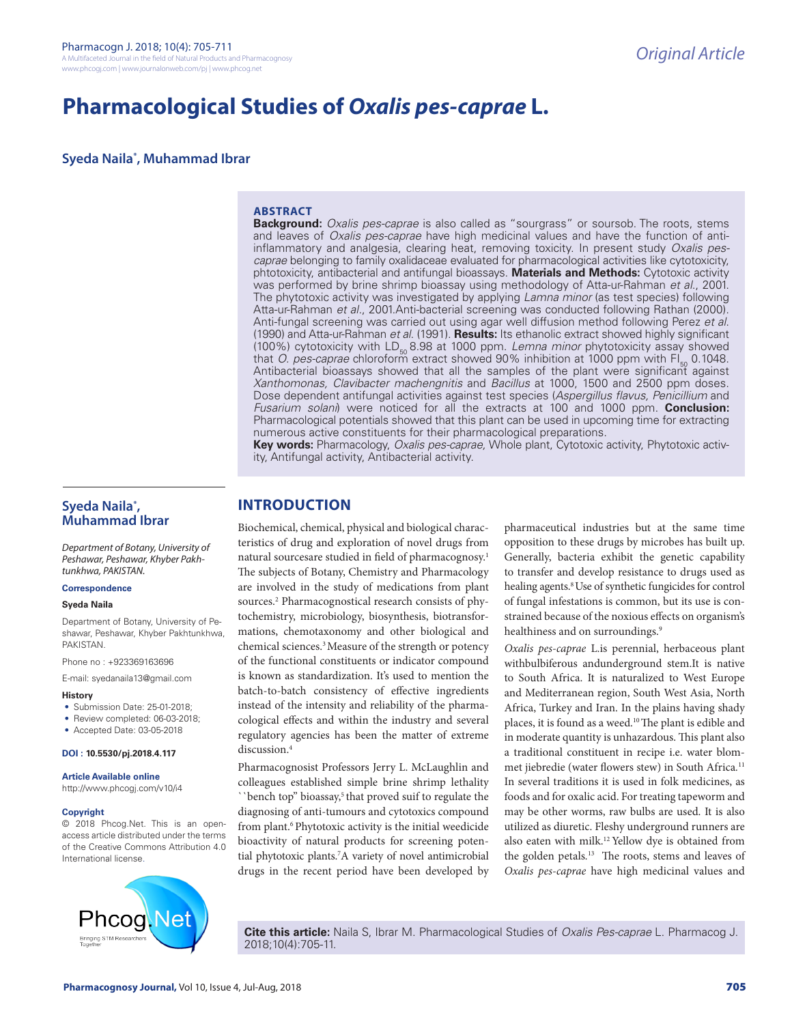# **Pharmacological Studies of** *Oxalis pes-caprae* **L.**

**Syeda Naila\* , Muhammad Ibrar**

#### **ABSTRACT**

**Background:** *Oxalis pes-caprae* is also called as "sourgrass" or soursob. The roots, stems and leaves of *Oxalis pes-caprae* have high medicinal values and have the function of antiinflammatory and analgesia, clearing heat, removing toxicity. In present study *Oxalis pescaprae* belonging to family oxalidaceae evaluated for pharmacological activities like cytotoxicity, phtotoxicity, antibacterial and antifungal bioassays. **Materials and Methods:** Cytotoxic activity was performed by brine shrimp bioassay using methodology of Atta-ur-Rahman *et al*., 2001. The phytotoxic activity was investigated by applying *Lamna minor* (as test species) following Atta-ur-Rahman *et al.*, 2001.Anti-bacterial screening was conducted following Rathan (2000). Anti-fungal screening was carried out using agar well diffusion method following Perez *et al*. (1990) and Atta-ur-Rahman *et al*. (1991). **Results:** Its ethanolic extract showed highly significant (100%) cytotoxicity with LD<sub>50</sub> 8.98 at 1000 ppm. *Lemna minor* phytotoxicity assay showed that *O. pes-caprae* chloroform extract showed 90% inhibition at 1000 ppm with FI<sub>50</sub> 0.1048. Antibacterial bioassays showed that all the samples of the plant were significant against *Xanthomonas, Clavibacter machengnitis* and *Bacillus* at 1000, 1500 and 2500 ppm doses. Dose dependent antifungal activities against test species (*Aspergillus flavus, Penicillium* and *Fusarium solani*) were noticed for all the extracts at 100 and 1000 ppm. **Conclusion:**  Pharmacological potentials showed that this plant can be used in upcoming time for extracting numerous active constituents for their pharmacological preparations.

**Key words:** Pharmacology, *Oxalis pes-caprae,* Whole plant, Cytotoxic activity, Phytotoxic activity, Antifungal activity, Antibacterial activity.

## **Syeda Naila\* , Muhammad Ibrar**

*Department of Botany, University of Peshawar, Peshawar, Khyber Pakhtunkhwa, PAKISTAN.*

#### **Correspondence**

#### **Syeda Naila**

Department of Botany, University of Peshawar, Peshawar, Khyber Pakhtunkhwa, PAKISTAN.

Phone no : +923369163696

E-mail: syedanaila13@gmail.com

#### **History**

- Submission Date: 25-01-2018;
- Review completed: 06-03-2018;
- Accepted Date: 03-05-2018

#### **DOI : 10.5530/pj.2018.4.117**

#### **Article Available online**

http://www.phcogj.com/v10/i4

#### **Copyright**

© 2018 Phcog.Net. This is an openaccess article distributed under the terms of the Creative Commons Attribution 4.0 International license.



# **INTRODUCTION**

Biochemical, chemical, physical and biological characteristics of drug and exploration of novel drugs from natural sourcesare studied in field of pharmacognosy.<sup>1</sup> The subjects of Botany, Chemistry and Pharmacology are involved in the study of medications from plant sources.<sup>2</sup> Pharmacognostical research consists of phytochemistry, microbiology, biosynthesis, biotransformations, chemotaxonomy and other biological and chemical sciences.<sup>3</sup> Measure of the strength or potency of the functional constituents or indicator compound is known as standardization. It's used to mention the batch-to-batch consistency of effective ingredients instead of the intensity and reliability of the pharmacological effects and within the industry and several regulatory agencies has been the matter of extreme discussion.4

Pharmacognosist Professors Jerry L. McLaughlin and colleagues established simple brine shrimp lethality ``bench top" bioassay,<sup>5</sup> that proved suif to regulate the diagnosing of anti-tumours and cytotoxics compound from plant.<sup>6</sup> Phytotoxic activity is the initial weedicide bioactivity of natural products for screening potential phytotoxic plants.7 A variety of novel antimicrobial drugs in the recent period have been developed by

pharmaceutical industries but at the same time opposition to these drugs by microbes has built up. Generally, bacteria exhibit the genetic capability to transfer and develop resistance to drugs used as healing agents.<sup>8</sup> Use of synthetic fungicides for control of fungal infestations is common, but its use is constrained because of the noxious effects on organism's healthiness and on surroundings.<sup>9</sup>

*Oxalis pes-caprae* L.is perennial, herbaceous plant withbulbiferous andunderground stem.It is native to South Africa. It is naturalized to West Europe and Mediterranean region, South West Asia, North Africa, Turkey and Iran. In the plains having shady places, it is found as a weed.10 The plant is edible and in moderate quantity is unhazardous. This plant also a traditional constituent in recipe i.e. water blommet jiebredie (water flowers stew) in South Africa*.* 11 In several traditions it is used in folk medicines, as foods and for oxalic acid. For treating tapeworm and may be other worms, raw bulbs are used. It is also utilized as diuretic. Fleshy underground runners are also eaten with milk.12 Yellow dye is obtained from the golden petals*.* 13 The roots, stems and leaves of *Oxalis pes-caprae* have high medicinal values and

**Cite this article:** Naila S, Ibrar M. Pharmacological Studies of *Oxalis Pes-caprae* L. Pharmacog J. 2018;10(4):705-11.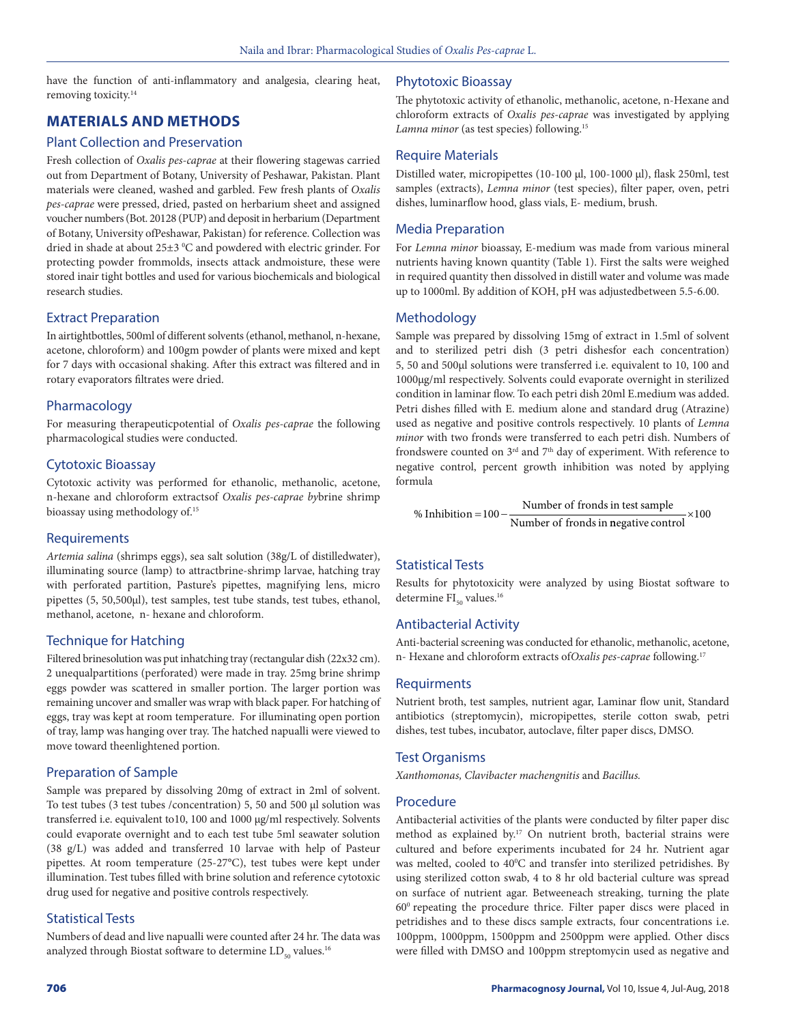have the function of anti-inflammatory and analgesia, clearing heat, removing toxicity.14

# **MATERIALS AND METHODS**

# Plant Collection and Preservation

Fresh collection of *Oxalis pes-caprae* at their flowering stagewas carried out from Department of Botany, University of Peshawar, Pakistan. Plant materials were cleaned, washed and garbled. Few fresh plants of *Oxalis pes-caprae* were pressed, dried, pasted on herbarium sheet and assigned voucher numbers (Bot. 20128 (PUP) and deposit in herbarium (Department of Botany, University ofPeshawar, Pakistan) for reference. Collection was dried in shade at about 25±3 °C and powdered with electric grinder. For protecting powder frommolds, insects attack andmoisture, these were stored inair tight bottles and used for various biochemicals and biological research studies.

## Extract Preparation

In airtightbottles, 500ml of different solvents (ethanol, methanol, n-hexane, acetone, chloroform) and 100gm powder of plants were mixed and kept for 7 days with occasional shaking. After this extract was filtered and in rotary evaporators filtrates were dried.

## Pharmacology

For measuring therapeuticpotential of *Oxalis pes-caprae* the following pharmacological studies were conducted.

#### Cytotoxic Bioassay

Cytotoxic activity was performed for ethanolic, methanolic, acetone, n-hexane and chloroform extractsof *Oxalis pes-caprae by*brine shrimp bioassay using methodology of.<sup>15</sup>

### Requirements

*Artemia salina* (shrimps eggs), sea salt solution (38g/L of distilledwater), illuminating source (lamp) to attractbrine-shrimp larvae, hatching tray with perforated partition, Pasture's pipettes, magnifying lens, micro pipettes (5, 50,500μl), test samples, test tube stands, test tubes, ethanol, methanol, acetone, n- hexane and chloroform.

# Technique for Hatching

Filtered brinesolution was put inhatching tray (rectangular dish (22x32 cm). 2 unequalpartitions (perforated) were made in tray. 25mg brine shrimp eggs powder was scattered in smaller portion. The larger portion was remaining uncover and smaller was wrap with black paper. For hatching of eggs, tray was kept at room temperature. For illuminating open portion of tray, lamp was hanging over tray. The hatched napualli were viewed to move toward theenlightened portion.

# Preparation of Sample

Sample was prepared by dissolving 20mg of extract in 2ml of solvent. To test tubes (3 test tubes /concentration) 5, 50 and 500 μl solution was transferred i.e. equivalent to10, 100 and 1000 μg/ml respectively. Solvents could evaporate overnight and to each test tube 5ml seawater solution (38 g/L) was added and transferred 10 larvae with help of Pasteur pipettes. At room temperature (25-27°C), test tubes were kept under illumination. Test tubes filled with brine solution and reference cytotoxic drug used for negative and positive controls respectively.

### Statistical Tests

Numbers of dead and live napualli were counted after 24 hr. The data was analyzed through Biostat software to determine  $LD_{50}$  values.<sup>16</sup>

#### Phytotoxic Bioassay

The phytotoxic activity of ethanolic, methanolic, acetone, n-Hexane and chloroform extracts of *Oxalis pes-caprae* was investigated by applying Lamna minor (as test species) following.<sup>15</sup>

### Require Materials

Distilled water, micropipettes (10-100 μl, 100-1000 μl), flask 250ml, test samples (extracts), *Lemna minor* (test species), filter paper, oven, petri dishes, luminarflow hood, glass vials, E- medium, brush.

## Media Preparation

For *Lemna minor* bioassay, E-medium was made from various mineral nutrients having known quantity (Table 1). First the salts were weighed in required quantity then dissolved in distill water and volume was made up to 1000ml. By addition of KOH, pH was adjustedbetween 5.5-6.00.

# **Methodology**

Sample was prepared by dissolving 15mg of extract in 1.5ml of solvent and to sterilized petri dish (3 petri dishesfor each concentration) 5, 50 and 500μl solutions were transferred i.e. equivalent to 10, 100 and 1000μg/ml respectively. Solvents could evaporate overnight in sterilized condition in laminar flow. To each petri dish 20ml E.medium was added. Petri dishes filled with E. medium alone and standard drug (Atrazine) used as negative and positive controls respectively. 10 plants of *Lemna minor* with two fronds were transferred to each petri dish. Numbers of frondswere counted on 3<sup>rd</sup> and 7<sup>th</sup> day of experiment. With reference to negative control, percent growth inhibition was noted by applying formula

% Inhibition =  $100 - \frac{\text{Number of fronts in test sample}}{\text{Number of friends in test sample}}$  $\overline{\text{Number of fronts in negative control}}$ ×100

# Statistical Tests

Results for phytotoxicity were analyzed by using Biostat software to determine  $FI_{50}$  values.<sup>16</sup>

### Antibacterial Activity

Anti-bacterial screening was conducted for ethanolic, methanolic, acetone, n- Hexane and chloroform extracts of*Oxalis pes-caprae* following.17

### Requirments

Nutrient broth, test samples, nutrient agar, Laminar flow unit, Standard antibiotics (streptomycin), micropipettes, sterile cotton swab, petri dishes, test tubes, incubator, autoclave, filter paper discs, DMSO.

### Test Organisms

*Xanthomonas, Clavibacter machengnitis* and *Bacillus.*

### Procedure

Antibacterial activities of the plants were conducted by filter paper disc method as explained by.<sup>17</sup> On nutrient broth, bacterial strains were cultured and before experiments incubated for 24 hr. Nutrient agar was melted, cooled to 40°C and transfer into sterilized petridishes. By using sterilized cotton swab, 4 to 8 hr old bacterial culture was spread on surface of nutrient agar. Betweeneach streaking, turning the plate 600 repeating the procedure thrice. Filter paper discs were placed in petridishes and to these discs sample extracts, four concentrations i.e. 100ppm, 1000ppm, 1500ppm and 2500ppm were applied. Other discs were filled with DMSO and 100ppm streptomycin used as negative and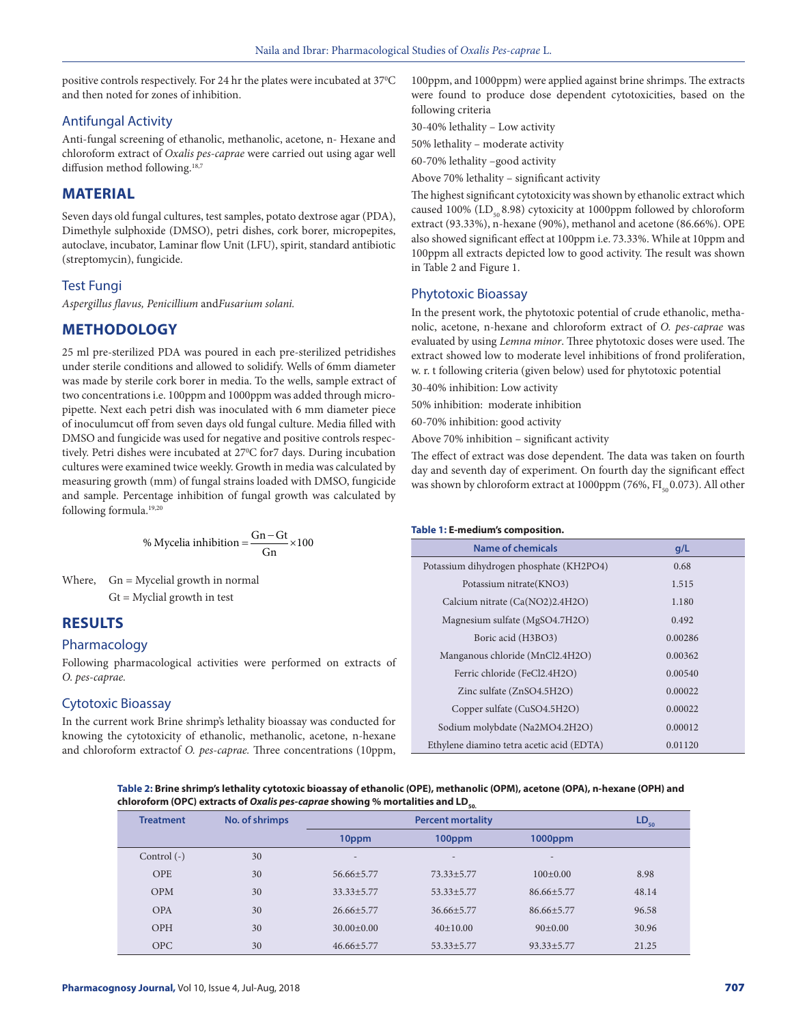positive controls respectively. For 24 hr the plates were incubated at 37°C and then noted for zones of inhibition.

## Antifungal Activity

Anti-fungal screening of ethanolic, methanolic, acetone, n- Hexane and chloroform extract of *Oxalis pes-caprae* were carried out using agar well diffusion method following.<sup>18,7</sup>

### **MATERIAL**

Seven days old fungal cultures, test samples, potato dextrose agar (PDA), Dimethyle sulphoxide (DMSO), petri dishes, cork borer, micropepites, autoclave, incubator, Laminar flow Unit (LFU), spirit, standard antibiotic (streptomycin), fungicide.

#### Test Fungi

*Aspergillus flavus, Penicillium* and*Fusarium solani.*

## **METHODOLOGY**

25 ml pre-sterilized PDA was poured in each pre-sterilized petridishes under sterile conditions and allowed to solidify. Wells of 6mm diameter was made by sterile cork borer in media. To the wells, sample extract of two concentrations i.e. 100ppm and 1000ppm was added through micropipette. Next each petri dish was inoculated with 6 mm diameter piece of inoculumcut off from seven days old fungal culture. Media filled with DMSO and fungicide was used for negative and positive controls respectively. Petri dishes were incubated at 27<sup>o</sup>C for7 days. During incubation cultures were examined twice weekly. Growth in media was calculated by measuring growth (mm) of fungal strains loaded with DMSO, fungicide and sample. Percentage inhibition of fungal growth was calculated by following formula.<sup>19,20</sup>

% Mycelia inhibition = 
$$
\frac{Gn - Gt}{Gn} \times 100
$$

Where,  $Gn = Mycelial growth in normal$  $Gt = Myclid$  growth in test

## **RESULTS**

#### Pharmacology

Following pharmacological activities were performed on extracts of *O. pes-caprae.*

#### Cytotoxic Bioassay

In the current work Brine shrimp's lethality bioassay was conducted for knowing the cytotoxicity of ethanolic, methanolic, acetone, n-hexane and chloroform extractof *O. pes-caprae.* Three concentrations (10ppm, 100ppm, and 1000ppm) were applied against brine shrimps. The extracts were found to produce dose dependent cytotoxicities, based on the following criteria

30-40% lethality – Low activity

50% lethality – moderate activity

60-70% lethality –good activity

Above 70% lethality – significant activity

The highest significant cytotoxicity was shown by ethanolic extract which caused 100% ( $LD_{50}$  8.98) cytoxicity at 1000ppm followed by chloroform extract (93.33%), n-hexane (90%), methanol and acetone (86.66%). OPE also showed significant effect at 100ppm i.e. 73.33%. While at 10ppm and 100ppm all extracts depicted low to good activity. The result was shown in Table 2 and Figure 1.

#### Phytotoxic Bioassay

In the present work, the phytotoxic potential of crude ethanolic, methanolic, acetone, n-hexane and chloroform extract of *O. pes-caprae* was evaluated by using *Lemna minor*. Three phytotoxic doses were used. The extract showed low to moderate level inhibitions of frond proliferation, w. r. t following criteria (given below) used for phytotoxic potential

30-40% inhibition: Low activity

50% inhibition: moderate inhibition

60-70% inhibition: good activity

Above 70% inhibition – significant activity

The effect of extract was dose dependent. The data was taken on fourth day and seventh day of experiment. On fourth day the significant effect was shown by chloroform extract at 1000ppm (76%,  $FI_{50}$  0.073). All other

#### **Table 1: E-medium's composition.**

| Name of chemicals                         | q/L     |
|-------------------------------------------|---------|
| Potassium dihydrogen phosphate (KH2PO4)   | 0.68    |
| Potassium nitrate (KNO3)                  | 1.515   |
| Calcium nitrate (Ca(NO2)2.4H2O)           | 1.180   |
| Magnesium sulfate (MgSO4.7H2O)            | 0.492   |
| Boric acid (H3BO3)                        | 0.00286 |
| Manganous chloride (MnCl2.4H2O)           | 0.00362 |
| Ferric chloride (FeCl2.4H2O)              | 0.00540 |
| Zinc sulfate (ZnSO4.5H2O)                 | 0.00022 |
| Copper sulfate (CuSO4.5H2O)               | 0.00022 |
| Sodium molybdate (Na2MO4.2H2O)            | 0.00012 |
| Ethylene diamino tetra acetic acid (EDTA) | 0.01120 |

**Table 2: Brine shrimp's lethality cytotoxic bioassay of ethanolic (OPE), methanolic (OPM), acetone (OPA), n-hexane (OPH) and**  chloroform (OPC) extracts of *Oxalis pes-caprae* showing % mortalities and LD<sub>50</sub>

| <b>Treatment</b> | No. of shrimps | <b>Percent mortality</b> |                          |                  | $LD_{50}$ |
|------------------|----------------|--------------------------|--------------------------|------------------|-----------|
|                  |                | 10ppm                    | 100ppm                   | $1000$ ppm       |           |
| Control $(-)$    | 30             | $\overline{\phantom{a}}$ | $\overline{\phantom{a}}$ | $\overline{a}$   |           |
| <b>OPE</b>       | 30             | 56.66+5.77               | $73.33 + 5.77$           | $100+0.00$       | 8.98      |
| <b>OPM</b>       | 30             | $33.33 + 5.77$           | $53.33 + 5.77$           | $86.66 + 5.77$   | 48.14     |
| OPA              | 30             | $26.66 + 5.77$           | $36.66 + 5.77$           | $86.66 + 5.77$   | 96.58     |
| OPH              | 30             | $30.00+0.00$             | $40+10.00$               | $90+0.00$        | 30.96     |
| <b>OPC</b>       | 30             | $46.66 + 5.77$           | $53.33 + 5.77$           | $93.33 \pm 5.77$ | 21.25     |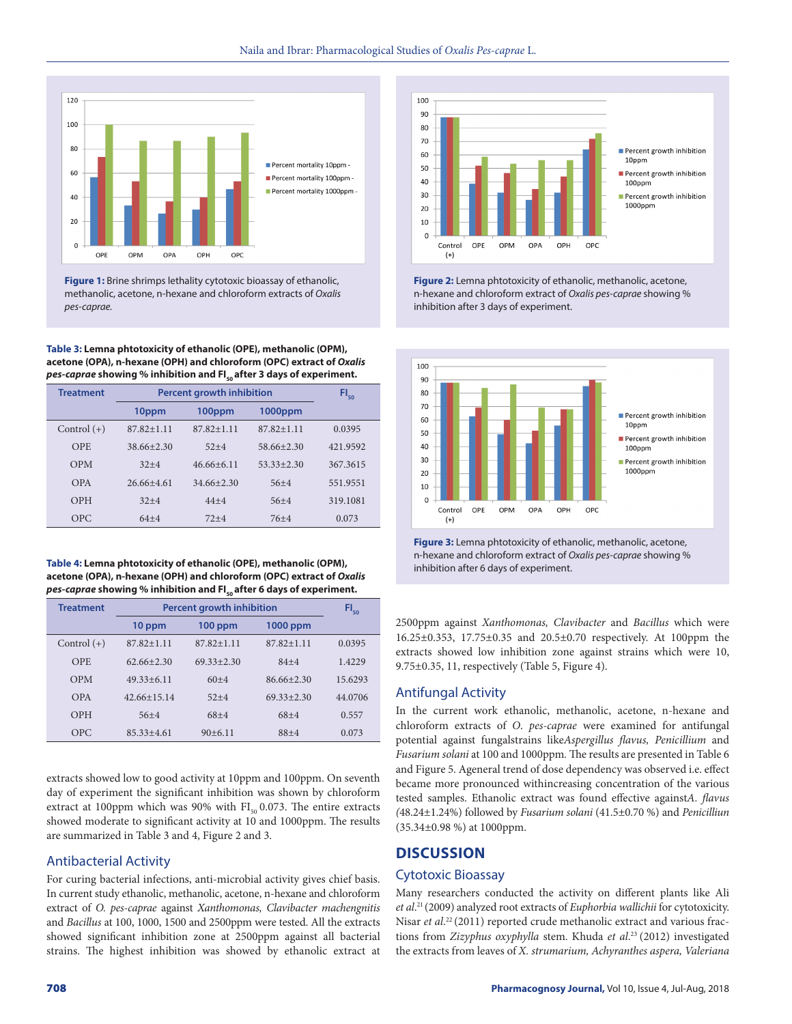

**Figure 1:** Brine shrimps lethality cytotoxic bioassay of ethanolic, methanolic, acetone, n-hexane and chloroform extracts of *Oxalis pes-caprae.*

**Table 3: Lemna phtotoxicity of ethanolic (OPE), methanolic (OPM), acetone (OPA), n-hexane (OPH) and chloroform (OPC) extract of** *Oxalis pes-caprae* showing % inhibition and FI<sub>so</sub> after 3 days of experiment.

| <b>Treatment</b> | <b>Percent growth inhibition</b> |                |                | $FI_{50}$ |
|------------------|----------------------------------|----------------|----------------|-----------|
|                  | 10ppm                            | 100ppm         | 1000ppm        |           |
| Control $(+)$    | $87.82 + 1.11$                   | $87.82 + 1.11$ | $87.82 + 1.11$ | 0.0395    |
| <b>OPE</b>       | $38.66 + 2.30$                   | $52+4$         | $58.66 + 2.30$ | 421.9592  |
| <b>OPM</b>       | $32+4$                           | $46.66 + 6.11$ | $53.33 + 2.30$ | 367.3615  |
| OPA              | $26.66+4.61$                     | $34.66 + 2.30$ | $56 + 4$       | 551.9551  |
| OPH              | $32+4$                           | $44 + 4$       | $56 + 4$       | 319.1081  |
| <b>OPC</b>       | $64 + 4$                         | $72+4$         | $76 + 4$       | 0.073     |

**Table 4: Lemna phtotoxicity of ethanolic (OPE), methanolic (OPM), acetone (OPA), n-hexane (OPH) and chloroform (OPC) extract of** *Oxalis pes-caprae* showing % inhibition and FI<sub>50</sub> after 6 days of experiment.

| <b>Treatment</b> | <b>Percent growth inhibition</b> |                |                | $FI_{50}$ |
|------------------|----------------------------------|----------------|----------------|-----------|
|                  | 10 ppm                           | $100$ ppm      | 1000 ppm       |           |
| Control $(+)$    | $87.82 + 1.11$                   | $87.82 + 1.11$ | $87.82 + 1.11$ | 0.0395    |
| OPE.             | $62.66 + 2.30$                   | $69.33 + 2.30$ | $84 + 4$       | 1.4229    |
| <b>OPM</b>       | $49.33 + 6.11$                   | $60+4$         | $86.66 + 2.30$ | 15.6293   |
| OPA              | $42.66 + 15.14$                  | $52+4$         | $69.33 + 2.30$ | 44.0706   |
| OPH              | $56+4$                           | $68+4$         | $68+4$         | 0.557     |
| OPC              | $85.33 + 4.61$                   | $90+6.11$      | $88 + 4$       | 0.073     |

extracts showed low to good activity at 10ppm and 100ppm. On seventh day of experiment the significant inhibition was shown by chloroform extract at 100ppm which was 90% with  $FI_{50}$  0.073. The entire extracts showed moderate to significant activity at 10 and 1000ppm. The results are summarized in Table 3 and 4, Figure 2 and 3.

#### Antibacterial Activity

For curing bacterial infections, anti-microbial activity gives chief basis. In current study ethanolic, methanolic, acetone, n-hexane and chloroform extract of *O. pes-caprae* against *Xanthomonas, Clavibacter machengnitis*  and *Bacillus* at 100, 1000, 1500 and 2500ppm were tested. All the extracts showed significant inhibition zone at 2500ppm against all bacterial strains. The highest inhibition was showed by ethanolic extract at



**Figure 2:** Lemna phtotoxicity of ethanolic, methanolic, acetone, n-hexane and chloroform extract of *Oxalis pes-caprae* showing % inhibition after 3 days of experiment.



**Figure 3:** Lemna phtotoxicity of ethanolic, methanolic, acetone, n-hexane and chloroform extract of *Oxalis pes-caprae* showing % inhibition after 6 days of experiment.

2500ppm against *Xanthomonas, Clavibacter* and *Bacillus* which were 16.25±0.353, 17.75±0.35 and 20.5±0.70 respectively. At 100ppm the extracts showed low inhibition zone against strains which were 10, 9.75±0.35, 11, respectively (Table 5, Figure 4).

#### Antifungal Activity

In the current work ethanolic, methanolic, acetone, n-hexane and chloroform extracts of *O*. *pes-caprae* were examined for antifungal potential against fungalstrains like*Aspergillus flavus, Penicillium* and *Fusarium solani* at 100 and 1000ppm*.* The results are presented in Table 6 and Figure 5. Ageneral trend of dose dependency was observed i.e. effect became more pronounced withincreasing concentration of the various tested samples. Ethanolic extract was found effective against*A. flavus (*48.24±1.24%) followed by *Fusarium solani* (41.5±0.70 %) and *Penicilliun*  (35.34±0.98 %) at 1000ppm.

## **DISCUSSION**

#### Cytotoxic Bioassay

Many researchers conducted the activity on different plants like Ali *et al*. 21 (2009) analyzed root extracts of *Euphorbia wallichii* for cytotoxicity. Nisar et al.<sup>22</sup> (2011) reported crude methanolic extract and various fractions from *Zizyphus oxyphylla* stem. Khuda *et al*. 23 (2012) investigated the extracts from leaves of *X. strumarium, Achyranthes aspera, Valeriana*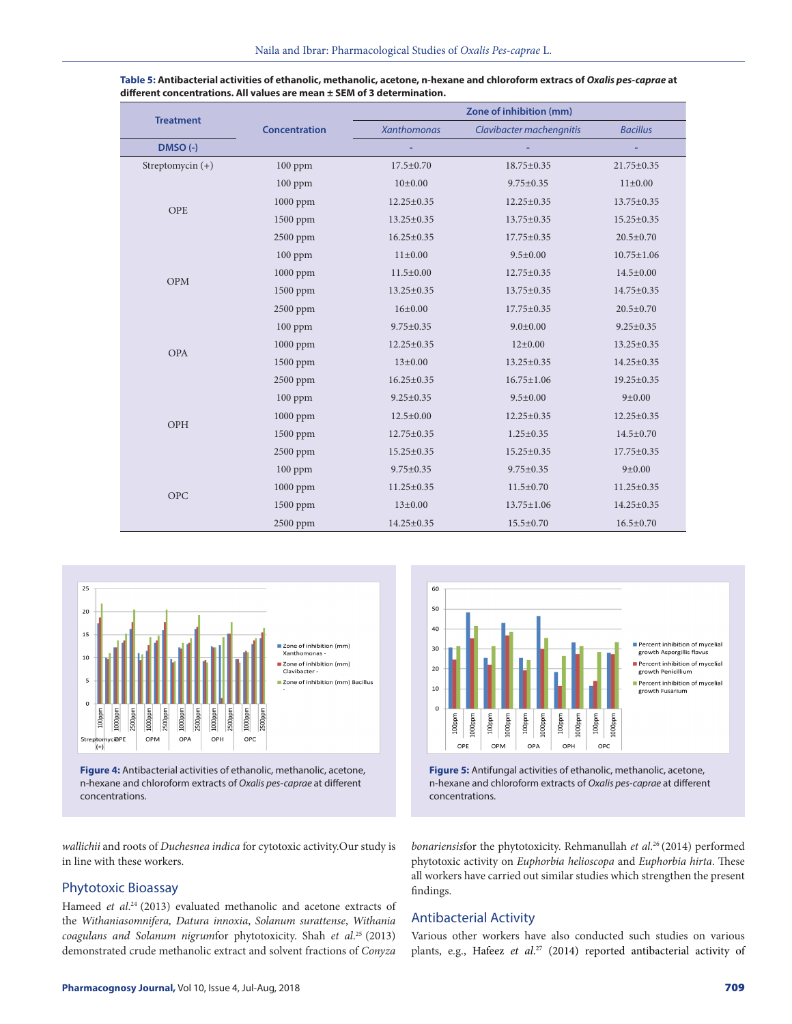| <b>Treatment</b>   |                      | Zone of inhibition (mm) |                          |                  |  |
|--------------------|----------------------|-------------------------|--------------------------|------------------|--|
|                    | <b>Concentration</b> | <b>Xanthomonas</b>      | Clavibacter machengnitis | <b>Bacillus</b>  |  |
| DMSO (-)           |                      |                         |                          |                  |  |
| Streptomycin $(+)$ | $100$ ppm            | 17.5±0.70               | 18.75±0.35               | $21.75 \pm 0.35$ |  |
|                    | $100$ ppm            | 10±0.00                 | $9.75 \pm 0.35$          | $11 \pm 0.00$    |  |
| OPE                | $1000$ ppm           | $12.25 \pm 0.35$        | 12.25±0.35               | 13.75±0.35       |  |
|                    | $1500$ ppm           | 13.25±0.35              | $13.75 \pm 0.35$         | 15.25±0.35       |  |
|                    | 2500 ppm             | $16.25 \pm 0.35$        | $17.75 \pm 0.35$         | $20.5 \pm 0.70$  |  |
|                    | $100$ ppm            | $11 \pm 0.00$           | $9.5 \pm 0.00$           | $10.75 \pm 1.06$ |  |
|                    | $1000$ ppm           | $11.5 \pm 0.00$         | 12.75±0.35               | $14.5 \pm 0.00$  |  |
| OPM                | 1500 ppm             | $13.25 \pm 0.35$        | 13.75±0.35               | 14.75±0.35       |  |
|                    | 2500 ppm             | 16±0.00                 | $17.75 \pm 0.35$         | $20.5 \pm 0.70$  |  |
|                    | 100 ppm              | $9.75 \pm 0.35$         | $9.0 \pm 0.00$           | $9.25 \pm 0.35$  |  |
| <b>OPA</b>         | 1000 ppm             | $12.25 \pm 0.35$        | $12\pm0.00$              | 13.25±0.35       |  |
|                    | $1500$ ppm           | $13 \pm 0.00$           | 13.25±0.35               | 14.25±0.35       |  |
|                    | 2500 ppm             | $16.25 \pm 0.35$        | $16.75 \pm 1.06$         | 19.25±0.35       |  |
| OPH                | $100$ ppm            | $9.25 \pm 0.35$         | $9.5 \pm 0.00$           | 9 ± 0.00         |  |
|                    | $1000$ ppm           | $12.5 \pm 0.00$         | $12.25 \pm 0.35$         | $12.25 \pm 0.35$ |  |
|                    | $1500$ ppm           | 12.75±0.35              | $1.25 \pm 0.35$          | $14.5 \pm 0.70$  |  |
|                    | 2500 ppm             | $15.25 \pm 0.35$        | 15.25±0.35               | 17.75±0.35       |  |
| <b>OPC</b>         | 100 ppm              | $9.75 \pm 0.35$         | $9.75 \pm 0.35$          | 9 ± 0.00         |  |
|                    | 1000 ppm             | $11.25 \pm 0.35$        | $11.5 \pm 0.70$          | $11.25 \pm 0.35$ |  |
|                    | 1500 ppm             | $13 \pm 0.00$           | $13.75 \pm 1.06$         | 14.25±0.35       |  |
|                    | 2500 ppm             | 14.25±0.35              | $15.5 \pm 0.70$          | $16.5 \pm 0.70$  |  |

| Table 5: Antibacterial activities of ethanolic, methanolic, acetone, n-hexane and chloroform extracs of Oxalis pes-caprae at |
|------------------------------------------------------------------------------------------------------------------------------|
| different concentrations. All values are mean $\pm$ SEM of 3 determination.                                                  |



**Figure 4:** Antibacterial activities of ethanolic, methanolic, acetone, n-hexane and chloroform extracts of *Oxalis pes-caprae* at different concentrations.



**Figure 5:** Antifungal activities of ethanolic, methanolic, acetone, n-hexane and chloroform extracts of *Oxalis pes-caprae* at different concentrations.

*wallichii* and roots of *Duchesnea indica* for cytotoxic activity.Our study is in line with these workers.

# Phytotoxic Bioassay

Hameed *et al*. 24 (2013) evaluated methanolic and acetone extracts of the *Withaniasomnifera, Datura innoxia*, *Solanum surattense*, *Withania coagulans and Solanum nigrum*for phytotoxicity. Shah *et al*. 25 (2013) demonstrated crude methanolic extract and solvent fractions of *Conyza* 

*bonariensis*for the phytotoxicity. Rehmanullah *et al*. 26 (2014) performed phytotoxic activity on *Euphorbia helioscopa* and *Euphorbia hirta*. These all workers have carried out similar studies which strengthen the present findings.

# Antibacterial Activity

Various other workers have also conducted such studies on various plants, e.g., Hafeez *et al*. 27 (2014) reported antibacterial activity of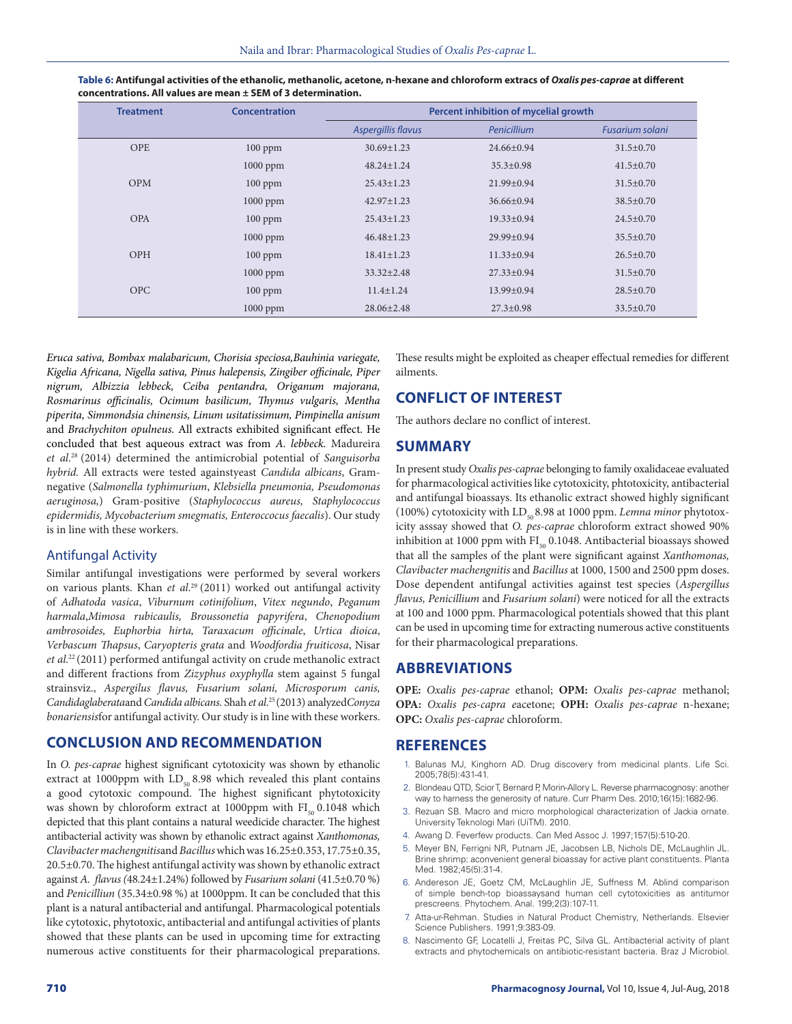| <b>Treatment</b> | Concentration | Percent inhibition of mycelial growth |                  |                 |
|------------------|---------------|---------------------------------------|------------------|-----------------|
|                  |               | Aspergillis flavus                    | Penicillium      | Fusarium solani |
| <b>OPE</b>       | $100$ ppm     | $30.69 \pm 1.23$                      | $24.66 \pm 0.94$ | $31.5 \pm 0.70$ |
|                  | $1000$ ppm    | $48.24 \pm 1.24$                      | $35.3 \pm 0.98$  | $41.5 \pm 0.70$ |
| OPM              | $100$ ppm     | $25.43 \pm 1.23$                      | $21.99 \pm 0.94$ | $31.5 \pm 0.70$ |
|                  | $1000$ ppm    | $42.97 \pm 1.23$                      | $36.66 \pm 0.94$ | $38.5 \pm 0.70$ |
| OPA              | $100$ ppm     | $25.43 \pm 1.23$                      | $19.33 \pm 0.94$ | $24.5 \pm 0.70$ |
|                  | $1000$ ppm    | $46.48 \pm 1.23$                      | $29.99 \pm 0.94$ | $35.5 \pm 0.70$ |
| <b>OPH</b>       | $100$ ppm     | $18.41 \pm 1.23$                      | $11.33 \pm 0.94$ | $26.5 \pm 0.70$ |
|                  | $1000$ ppm    | $33.32 \pm 2.48$                      | $27.33 \pm 0.94$ | $31.5 \pm 0.70$ |
| <b>OPC</b>       | $100$ ppm     | $11.4 \pm 1.24$                       | 13.99±0.94       | $28.5 \pm 0.70$ |
|                  | $1000$ ppm    | $28.06 \pm 2.48$                      | $27.3 \pm 0.98$  | $33.5 \pm 0.70$ |

**Table 6: Antifungal activities of the ethanolic, methanolic, acetone, n-hexane and chloroform extracs of** *Oxalis pes-caprae* **at different concentrations. All values are mean ± SEM of 3 determination.**

*Eruca sativa, Bombax malabaricum, Chorisia speciosa,Bauhinia variegate, Kigelia Africana, Nigella sativa, Pinus halepensis, Zingiber officinale, Piper nigrum, Albizzia lebbeck, Ceiba pentandra, Origanum majorana, Rosmarinus officinalis, Ocimum basilicum, Thymus vulgaris, Mentha piperita, Simmondsia chinensis, Linum usitatissimum, Pimpinella anisum* and *Brachychiton opulneus.* All extracts exhibited significant effect. He concluded that best aqueous extract was from *A. lebbeck.* Madureira *et al*. 28 (2014) determined the antimicrobial potential of *Sanguisorba hybrid.* All extracts were tested againstyeast *Candida albicans*, Gramnegative (*Salmonella typhimurium*, *Klebsiella pneumonia, Pseudomonas aeruginosa,*) Gram-positive (*Staphylococcus aureus, Staphylococcus epidermidis, Mycobacterium smegmatis, Enteroccocus faecalis*). Our study is in line with these workers.

#### Antifungal Activity

Similar antifungal investigations were performed by several workers on various plants. Khan *et al*. 29 (2011) worked out antifungal activity of *Adhatoda vasica*, *Viburnum cotinifolium*, *Vitex negundo*, *Peganum harmala*,*Mimosa rubicaulis, Broussonetia papyrifera*, *Chenopodium ambrosoides, Euphorbia hirta, Taraxacum officinale*, *Urtica dioica*, *Verbascum Thapsus*, *Caryopteris grata* and *Woodfordia fruiticosa*, Nisar *et al*. 22 (2011) performed antifungal activity on crude methanolic extract and different fractions from *Zizyphus oxyphylla* stem against 5 fungal strainsviz., *Aspergilus flavus, Fusarium solani, Microsporum canis, Candidaglaberata*and *Candida albicans.* Shah *et al*. 25 (2013) analyzed*Conyza bonariensis*for antifungal activity. Our study is in line with these workers.

## **CONCLUSION AND RECOMMENDATION**

In *O. pes-caprae* highest significant cytotoxicity was shown by ethanolic extract at 1000ppm with  $LD_{50}$  8.98 which revealed this plant contains a good cytotoxic compound. The highest significant phytotoxicity was shown by chloroform extract at 1000ppm with  $FI_{50}$  0.1048 which depicted that this plant contains a natural weedicide character. The highest antibacterial activity was shown by ethanolic extract against *Xanthomonas, Clavibacter machengnitis*and *Bacillus* which was 16.25±0.353, 17.75±0.35, 20.5±0.70. The highest antifungal activity was shown by ethanolic extract against *A. flavus (*48.24±1.24%) followed by *Fusarium solani* (41.5±0.70 %) and *Penicilliun* (35.34±0.98 %) at 1000ppm. It can be concluded that this plant is a natural antibacterial and antifungal. Pharmacological potentials like cytotoxic, phytotoxic, antibacterial and antifungal activities of plants showed that these plants can be used in upcoming time for extracting numerous active constituents for their pharmacological preparations.

These results might be exploited as cheaper effectual remedies for different ailments.

# **CONFLICT OF INTEREST**

The authors declare no conflict of interest.

#### **SUMMARY**

In present study *Oxalis pes-caprae* belonging to family oxalidaceae evaluated for pharmacological activities like cytotoxicity, phtotoxicity, antibacterial and antifungal bioassays. Its ethanolic extract showed highly significant (100%) cytotoxicity with LD<sub>50</sub> 8.98 at 1000 ppm. *Lemna minor* phytotoxicity asssay showed that *O. pes-caprae* chloroform extract showed 90% inhibition at 1000 ppm with  $FI_{50}$  0.1048. Antibacterial bioassays showed that all the samples of the plant were significant against *Xanthomonas, Clavibacter machengnitis* and *Bacillus* at 1000, 1500 and 2500 ppm doses. Dose dependent antifungal activities against test species (*Aspergillus flavus, Penicillium* and *Fusarium solani*) were noticed for all the extracts at 100 and 1000 ppm. Pharmacological potentials showed that this plant can be used in upcoming time for extracting numerous active constituents for their pharmacological preparations.

## **ABBREVIATIONS**

**OPE:** *Oxalis pes-caprae* ethanol; **OPM:** *Oxalis pes-caprae* methanol; **OPA:** *Oxalis pes-capra e*acetone; **OPH:** *Oxalis pes-caprae* n-hexane; **OPC:** *Oxalis pes-caprae* chloroform.

#### **REFERENCES**

- Balunas MJ, Kinghorn AD. Drug discovery from medicinal plants. Life Sci. 2005;78(5):431-41.
- 2. Blondeau QTD, Scior T, Bernard P, Morin-Allory L. Reverse pharmacognosy: another way to harness the generosity of nature. Curr Pharm Des. 2010;16(15):1682-96.
- 3. Rezuan SB. Macro and micro morphological characterization of Jackia ornate. University Teknologi Mari (UiTM). 2010.
- 4. Awang D. Feverfew products. Can Med Assoc J. 1997;157(5):510-20.
- 5. Meyer BN, Ferrigni NR, Putnam JE, Jacobsen LB, Nichols DE, McLaughlin JL. Brine shrimp: aconvenient general bioassay for active plant constituents. Planta Med. 1982;45(5):31-4.
- 6. Andereson JE, Goetz CM, McLaughlin JE, Suffness M. Ablind comparison of simple bench-top bioassaysand human cell cytotoxicities as antitumor prescreens. Phytochem. Anal. 199;2(3):107-11.
- 7. Atta-ur-Rehman. Studies in Natural Product Chemistry, Netherlands. Elsevier Science Publishers. 1991;9:383-09.
- 8. Nascimento GF, Locatelli J, Freitas PC, Silva GL. Antibacterial activity of plant extracts and phytochemicals on antibiotic-resistant bacteria. Braz J Microbiol.